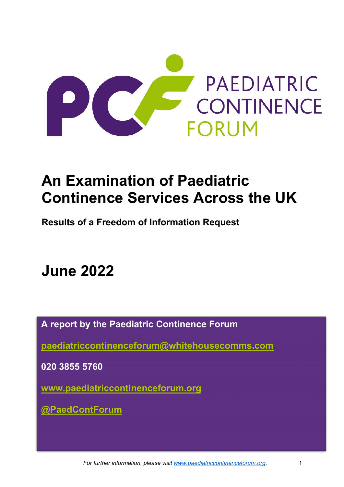

# **An Examination of Paediatric Continence Services Across the UK**

**Results of a Freedom of Information Request**

# **June 2022**

**A report by the Paediatric Continence Forum**

**[paediatriccontinenceforum@whitehousecomms.com](mailto:paediatriccontinenceforum@whitehousecomms.com)**

**020 3855 5760**

**[www.paediatriccontinenceforum.org](http://www.paediatriccontinenceforum.org/)**

**[@PaedContForum](https://twitter.com/PaedContForum)**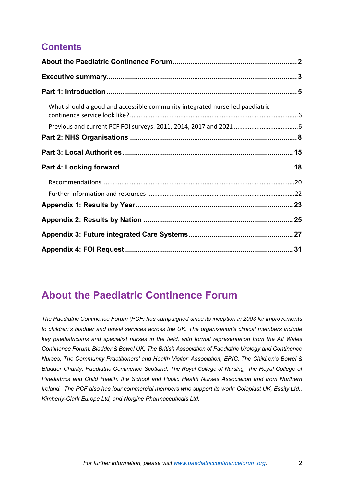## **Contents**

| What should a good and accessible community integrated nurse-led paediatric |  |
|-----------------------------------------------------------------------------|--|
|                                                                             |  |
|                                                                             |  |
|                                                                             |  |
|                                                                             |  |
|                                                                             |  |
|                                                                             |  |
|                                                                             |  |
|                                                                             |  |
|                                                                             |  |
|                                                                             |  |

# <span id="page-1-0"></span>**About the Paediatric Continence Forum**

*The Paediatric Continence Forum (PCF) has campaigned since its inception in 2003 for improvements to children's bladder and bowel services across the UK. The organisation's clinical members include key paediatricians and specialist nurses in the field, with formal representation from the All Wales Continence Forum, Bladder & Bowel UK, The British Association of Paediatric Urology and Continence Nurses, The Community Practitioners' and Health Visitor' Association, ERIC, The Children's Bowel & Bladder Charity, Paediatric Continence Scotland, The Royal College of Nursing, the Royal College of Paediatrics and Child Health, the School and Public Health Nurses Association and from Northern Ireland. The PCF also has four commercial members who support its work: Coloplast UK, Essity Ltd., Kimberly-Clark Europe Ltd, and Norgine Pharmaceuticals Ltd.*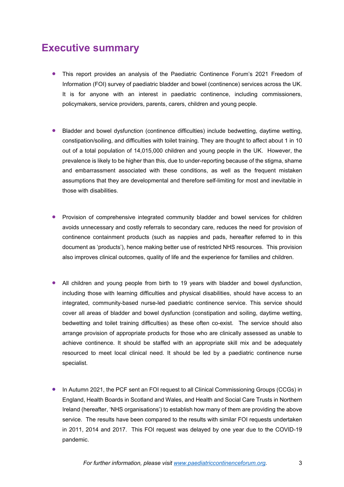# <span id="page-2-0"></span>**Executive summary**

- This report provides an analysis of the Paediatric Continence Forum's 2021 Freedom of Information (FOI) survey of paediatric bladder and bowel (continence) services across the UK. It is for anyone with an interest in paediatric continence, including commissioners, policymakers, service providers, parents, carers, children and young people.
- Bladder and bowel dysfunction (continence difficulties) include bedwetting, daytime wetting, constipation/soiling, and difficulties with toilet training. They are thought to affect about 1 in 10 out of a total population of 14,015,000 children and young people in the UK. However, the prevalence is likely to be higher than this, due to under-reporting because of the stigma, shame and embarrassment associated with these conditions, as well as the frequent mistaken assumptions that they are developmental and therefore self-limiting for most and inevitable in those with disabilities.
- Provision of comprehensive integrated community bladder and bowel services for children avoids unnecessary and costly referrals to secondary care, reduces the need for provision of continence containment products (such as nappies and pads, hereafter referred to in this document as 'products'), hence making better use of restricted NHS resources. This provision also improves clinical outcomes, quality of life and the experience for families and children.
- All children and young people from birth to 19 years with bladder and bowel dysfunction, including those with learning difficulties and physical disabilities, should have access to an integrated, community-based nurse-led paediatric continence service. This service should cover all areas of bladder and bowel dysfunction (constipation and soiling, daytime wetting, bedwetting and toilet training difficulties) as these often co-exist. The service should also arrange provision of appropriate products for those who are clinically assessed as unable to achieve continence. It should be staffed with an appropriate skill mix and be adequately resourced to meet local clinical need. It should be led by a paediatric continence nurse specialist.
- In Autumn 2021, the PCF sent an FOI request to all Clinical Commissioning Groups (CCGs) in England, Health Boards in Scotland and Wales, and Health and Social Care Trusts in Northern Ireland (hereafter, 'NHS organisations') to establish how many of them are providing the above service. The results have been compared to the results with similar FOI requests undertaken in 2011, 2014 and 2017. This FOI request was delayed by one year due to the COVID-19 pandemic.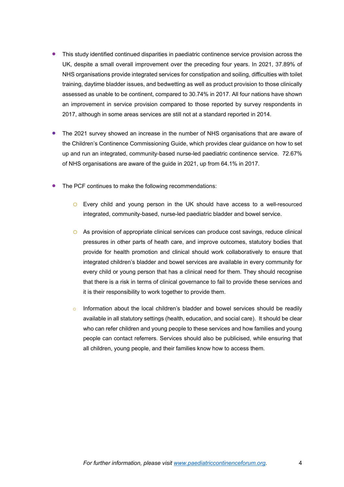- This study identified continued disparities in paediatric continence service provision across the UK, despite a small overall improvement over the preceding four years. In 2021, 37.89% of NHS organisations provide integrated services for constipation and soiling, difficulties with toilet training, daytime bladder issues, and bedwetting as well as product provision to those clinically assessed as unable to be continent, compared to 30.74% in 2017. All four nations have shown an improvement in service provision compared to those reported by survey respondents in 2017, although in some areas services are still not at a standard reported in 2014.
- The 2021 survey showed an increase in the number of NHS organisations that are aware of the Children's Continence Commissioning Guide, which provides clear guidance on how to set up and run an integrated, community-based nurse-led paediatric continence service. 72.67% of NHS organisations are aware of the guide in 2021, up from 64.1% in 2017.
- The PCF continues to make the following recommendations:
	- o Every child and young person in the UK should have access to a well-resourced integrated, community-based, nurse-led paediatric bladder and bowel service.
	- o As provision of appropriate clinical services can produce cost savings, reduce clinical pressures in other parts of heath care, and improve outcomes, statutory bodies that provide for health promotion and clinical should work collaboratively to ensure that integrated children's bladder and bowel services are available in every community for every child or young person that has a clinical need for them. They should recognise that there is a risk in terms of clinical governance to fail to provide these services and it is their responsibility to work together to provide them.
	- Information about the local children's bladder and bowel services should be readily available in all statutory settings (health, education, and social care). It should be clear who can refer children and young people to these services and how families and young people can contact referrers. Services should also be publicised, while ensuring that all children, young people, and their families know how to access them.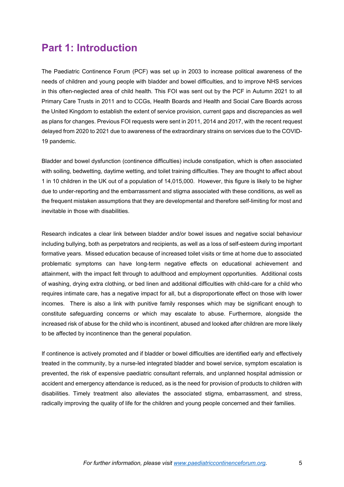# <span id="page-4-0"></span>**Part 1: Introduction**

The Paediatric Continence Forum (PCF) was set up in 2003 to increase political awareness of the needs of children and young people with bladder and bowel difficulties, and to improve NHS services in this often-neglected area of child health. This FOI was sent out by the PCF in Autumn 2021 to all Primary Care Trusts in 2011 and to CCGs, Health Boards and Health and Social Care Boards across the United Kingdom to establish the extent of service provision, current gaps and discrepancies as well as plans for changes. Previous FOI requests were sent in 2011, 2014 and 2017, with the recent request delayed from 2020 to 2021 due to awareness of the extraordinary strains on services due to the COVID-19 pandemic.

Bladder and bowel dysfunction (continence difficulties) include constipation, which is often associated with soiling, bedwetting, daytime wetting, and toilet training difficulties. They are thought to affect about 1 in 10 children in the UK out of a population of 14,015,000. However, this figure is likely to be higher due to under-reporting and the embarrassment and stigma associated with these conditions, as well as the frequent mistaken assumptions that they are developmental and therefore self-limiting for most and inevitable in those with disabilities.

Research indicates a clear link between bladder and/or bowel issues and negative social behaviour including bullying, both as perpetrators and recipients, as well as a loss of self-esteem during important formative years. Missed education because of increased toilet visits or time at home due to associated problematic symptoms can have long-term negative effects on educational achievement and attainment, with the impact felt through to adulthood and employment opportunities. Additional costs of washing, drying extra clothing, or bed linen and additional difficulties with child-care for a child who requires intimate care, has a negative impact for all, but a disproportionate effect on those with lower incomes. There is also a link with punitive family responses which may be significant enough to constitute safeguarding concerns or which may escalate to abuse. Furthermore, alongside the increased risk of abuse for the child who is incontinent, abused and looked after children are more likely to be affected by incontinence than the general population.

If continence is actively promoted and if bladder or bowel difficulties are identified early and effectively treated in the community, by a nurse-led integrated bladder and bowel service, symptom escalation is prevented, the risk of expensive paediatric consultant referrals, and unplanned hospital admission or accident and emergency attendance is reduced, as is the need for provision of products to children with disabilities. Timely treatment also alleviates the associated stigma, embarrassment, and stress, radically improving the quality of life for the children and young people concerned and their families.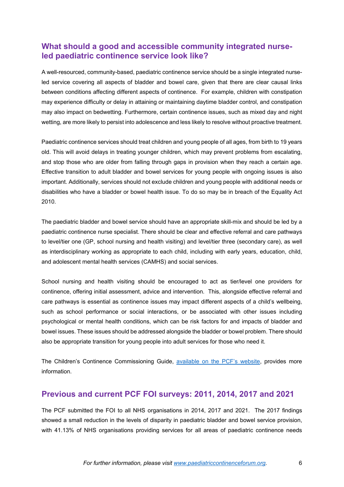### <span id="page-5-0"></span>**What should a good and accessible community integrated nurseled paediatric continence service look like?**

A well-resourced, community-based, paediatric continence service should be a single integrated nurseled service covering all aspects of bladder and bowel care, given that there are clear causal links between conditions affecting different aspects of continence. For example, children with constipation may experience difficulty or delay in attaining or maintaining daytime bladder control, and constipation may also impact on bedwetting. Furthermore, certain continence issues, such as mixed day and night wetting, are more likely to persist into adolescence and less likely to resolve without proactive treatment.

Paediatric continence services should treat children and young people of all ages, from birth to 19 years old. This will avoid delays in treating younger children, which may prevent problems from escalating, and stop those who are older from falling through gaps in provision when they reach a certain age. Effective transition to adult bladder and bowel services for young people with ongoing issues is also important. Additionally, services should not exclude children and young people with additional needs or disabilities who have a bladder or bowel health issue. To do so may be in breach of the Equality Act 2010.

The paediatric bladder and bowel service should have an appropriate skill-mix and should be led by a paediatric continence nurse specialist. There should be clear and effective referral and care pathways to level/tier one (GP, school nursing and health visiting) and level/tier three (secondary care), as well as interdisciplinary working as appropriate to each child, including with early years, education, child, and adolescent mental health services (CAMHS) and social services.

School nursing and health visiting should be encouraged to act as tier/level one providers for continence, offering initial assessment, advice and intervention. This, alongside effective referral and care pathways is essential as continence issues may impact different aspects of a child's wellbeing, such as school performance or social interactions, or be associated with other issues including psychological or mental health conditions, which can be risk factors for and impacts of bladder and bowel issues. These issues should be addressed alongside the bladder or bowel problem. There should also be appropriate transition for young people into adult services for those who need it.

The Children's Continence Commissioning Guide, [available on the PCF's website,](http://www.paediatriccontinenceforum.org/wp-content/uploads/2019/12/PCF-Childrens-Continence-Commissioning-Guide-Dec-2019.pdf) provides more information.

### <span id="page-5-1"></span>**Previous and current PCF FOI surveys: 2011, 2014, 2017 and 2021**

The PCF submitted the FOI to all NHS organisations in 2014, 2017 and 2021. The 2017 findings showed a small reduction in the levels of disparity in paediatric bladder and bowel service provision, with 41.13% of NHS organisations providing services for all areas of paediatric continence needs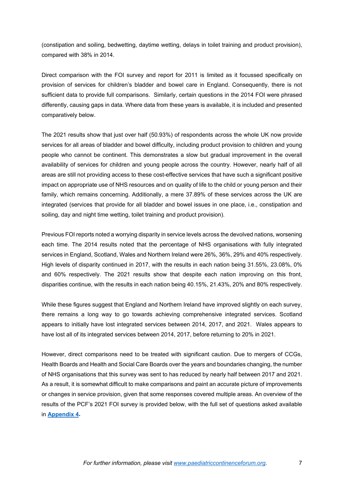(constipation and soiling, bedwetting, daytime wetting, delays in toilet training and product provision), compared with 38% in 2014.

Direct comparison with the FOI survey and report for 2011 is limited as it focussed specifically on provision of services for children's bladder and bowel care in England. Consequently, there is not sufficient data to provide full comparisons. Similarly, certain questions in the 2014 FOI were phrased differently, causing gaps in data. Where data from these years is available, it is included and presented comparatively below.

The 2021 results show that just over half (50.93%) of respondents across the whole UK now provide services for all areas of bladder and bowel difficulty, including product provision to children and young people who cannot be continent. This demonstrates a slow but gradual improvement in the overall availability of services for children and young people across the country. However, nearly half of all areas are still not providing access to these cost-effective services that have such a significant positive impact on appropriate use of NHS resources and on quality of life to the child or young person and their family, which remains concerning. Additionally, a mere 37.89% of these services across the UK are integrated (services that provide for all bladder and bowel issues in one place, i.e., constipation and soiling, day and night time wetting, toilet training and product provision).

Previous FOI reports noted a worrying disparity in service levels across the devolved nations, worsening each time. The 2014 results noted that the percentage of NHS organisations with fully integrated services in England, Scotland, Wales and Northern Ireland were 26%, 36%, 29% and 40% respectively. High levels of disparity continued in 2017, with the results in each nation being 31.55%, 23.08%, 0% and 60% respectively. The 2021 results show that despite each nation improving on this front, disparities continue, with the results in each nation being 40.15%, 21.43%, 20% and 80% respectively.

While these figures suggest that England and Northern Ireland have improved slightly on each survey, there remains a long way to go towards achieving comprehensive integrated services. Scotland appears to initially have lost integrated services between 2014, 2017, and 2021. Wales appears to have lost all of its integrated services between 2014, 2017, before returning to 20% in 2021.

However, direct comparisons need to be treated with significant caution. Due to mergers of CCGs, Health Boards and Health and Social Care Boards over the years and boundaries changing, the number of NHS organisations that this survey was sent to has reduced by nearly half between 2017 and 2021. As a result, it is somewhat difficult to make comparisons and paint an accurate picture of improvements or changes in service provision, given that some responses covered multiple areas. An overview of the results of the PCF's 2021 FOI survey is provided below, with the full set of questions asked available in **[Appendix 4.](#page-30-0)**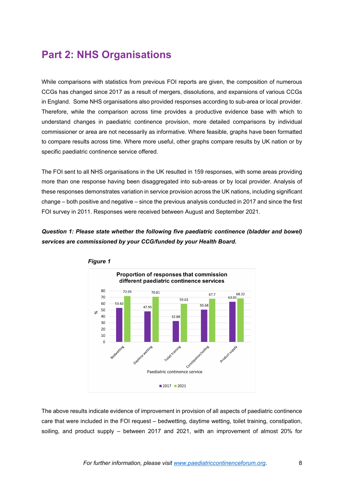# <span id="page-7-0"></span>**Part 2: NHS Organisations**

While comparisons with statistics from previous FOI reports are given, the composition of numerous CCGs has changed since 2017 as a result of mergers, dissolutions, and expansions of various CCGs in England. Some NHS organisations also provided responses according to sub-area or local provider. Therefore, while the comparison across time provides a productive evidence base with which to understand changes in paediatric continence provision, more detailed comparisons by individual commissioner or area are not necessarily as informative. Where feasible, graphs have been formatted to compare results across time. Where more useful, other graphs compare results by UK nation or by specific paediatric continence service offered.

The FOI sent to all NHS organisations in the UK resulted in 159 responses, with some areas providing more than one response having been disaggregated into sub-areas or by local provider. Analysis of these responses demonstrates variation in service provision across the UK nations, including significant change – both positive and negative – since the previous analysis conducted in 2017 and since the first FOI survey in 2011. Responses were received between August and September 2021.

### *Question 1: Please state whether the following five paediatric continence (bladder and bowel) services are commissioned by your CCG/funded by your Health Board***.**



The above results indicate evidence of improvement in provision of all aspects of paediatric continence care that were included in the FOI request – bedwetting, daytime wetting, toilet training, constipation, soiling, and product supply – between 2017 and 2021, with an improvement of almost 20% for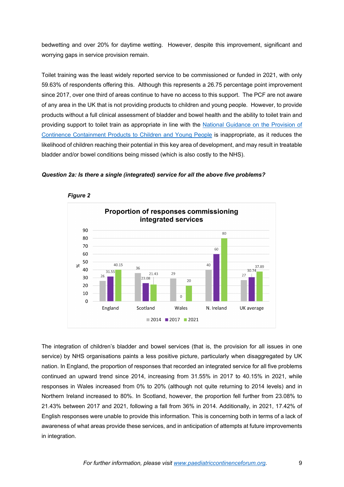bedwetting and over 20% for daytime wetting. However, despite this improvement, significant and worrying gaps in service provision remain.

Toilet training was the least widely reported service to be commissioned or funded in 2021, with only 59.63% of respondents offering this. Although this represents a 26.75 percentage point improvement since 2017, over one third of areas continue to have no access to this support. The PCF are not aware of any area in the UK that is not providing products to children and young people. However, to provide products without a full clinical assessment of bladder and bowel health and the ability to toilet train and providing support to toilet train as appropriate in line with the [National Guidance on the Provision of](https://www.bbuk.org.uk/wp-content/uploads/2021/11/Guidance-for-the-provision-of-continence-containment-products-to-children-2021-2.pdf)  [Continence Containment Products to Children and Young People](https://www.bbuk.org.uk/wp-content/uploads/2021/11/Guidance-for-the-provision-of-continence-containment-products-to-children-2021-2.pdf) is inappropriate, as it reduces the likelihood of children reaching their potential in this key area of development, and may result in treatable bladder and/or bowel conditions being missed (which is also costly to the NHS).





*Figure 2*

The integration of children's bladder and bowel services (that is, the provision for all issues in one service) by NHS organisations paints a less positive picture, particularly when disaggregated by UK nation. In England, the proportion of responses that recorded an integrated service for all five problems continued an upward trend since 2014, increasing from 31.55% in 2017 to 40.15% in 2021, while responses in Wales increased from 0% to 20% (although not quite returning to 2014 levels) and in Northern Ireland increased to 80%. In Scotland, however, the proportion fell further from 23.08% to 21.43% between 2017 and 2021, following a fall from 36% in 2014. Additionally, in 2021, 17.42% of English responses were unable to provide this information. This is concerning both in terms of a lack of awareness of what areas provide these services, and in anticipation of attempts at future improvements in integration.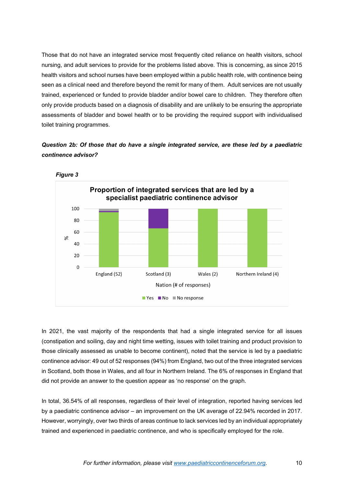Those that do not have an integrated service most frequently cited reliance on health visitors, school nursing, and adult services to provide for the problems listed above. This is concerning, as since 2015 health visitors and school nurses have been employed within a public health role, with continence being seen as a clinical need and therefore beyond the remit for many of them. Adult services are not usually trained, experienced or funded to provide bladder and/or bowel care to children. They therefore often only provide products based on a diagnosis of disability and are unlikely to be ensuring the appropriate assessments of bladder and bowel health or to be providing the required support with individualised toilet training programmes.

*Question 2b: Of those that do have a single integrated service, are these led by a paediatric continence advisor?*



In 2021, the vast majority of the respondents that had a single integrated service for all issues (constipation and soiling, day and night time wetting, issues with toilet training and product provision to those clinically assessed as unable to become continent), noted that the service is led by a paediatric continence advisor: 49 out of 52 responses (94%) from England, two out of the three integrated services in Scotland, both those in Wales, and all four in Northern Ireland. The 6% of responses in England that did not provide an answer to the question appear as 'no response' on the graph.

In total, 36.54% of all responses, regardless of their level of integration, reported having services led by a paediatric continence advisor – an improvement on the UK average of 22.94% recorded in 2017. However, worryingly, over two thirds of areas continue to lack services led by an individual appropriately trained and experienced in paediatric continence, and who is specifically employed for the role.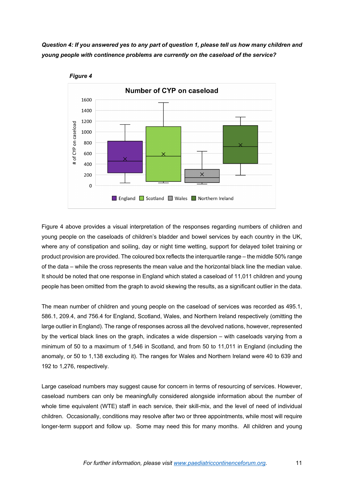*Question 4: If you answered yes to any part of question 1, please tell us how many children and young people with continence problems are currently on the caseload of the service?*





Figure 4 above provides a visual interpretation of the responses regarding numbers of children and young people on the caseloads of children's bladder and bowel services by each country in the UK, where any of constipation and soiling, day or night time wetting, support for delayed toilet training or product provision are provided. The coloured box reflects the interquartile range – the middle 50% range of the data – while the cross represents the mean value and the horizontal black line the median value. It should be noted that one response in England which stated a caseload of 11,011 children and young people has been omitted from the graph to avoid skewing the results, as a significant outlier in the data.

The mean number of children and young people on the caseload of services was recorded as 495.1, 586.1, 209.4, and 756.4 for England, Scotland, Wales, and Northern Ireland respectively (omitting the large outlier in England). The range of responses across all the devolved nations, however, represented by the vertical black lines on the graph, indicates a wide dispersion – with caseloads varying from a minimum of 50 to a maximum of 1,546 in Scotland, and from 50 to 11,011 in England (including the anomaly, or 50 to 1,138 excluding it). The ranges for Wales and Northern Ireland were 40 to 639 and 192 to 1,276, respectively.

Large caseload numbers may suggest cause for concern in terms of resourcing of services. However, caseload numbers can only be meaningfully considered alongside information about the number of whole time equivalent (WTE) staff in each service, their skill-mix, and the level of need of individual children. Occasionally, conditions may resolve after two or three appointments, while most will require longer-term support and follow up. Some may need this for many months. All children and young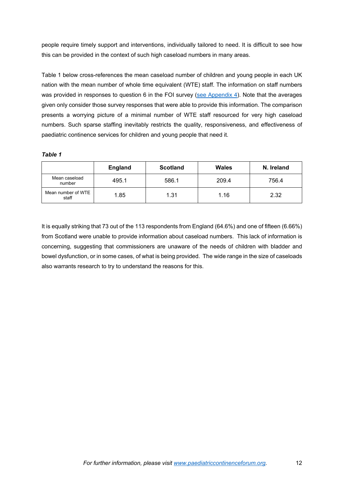people require timely support and interventions, individually tailored to need. It is difficult to see how this can be provided in the context of such high caseload numbers in many areas.

Table 1 below cross-references the mean caseload number of children and young people in each UK nation with the mean number of whole time equivalent (WTE) staff. The information on staff numbers was provided in responses to question 6 in the FOI survey [\(see Appendix 4\)](#page-30-0). Note that the averages given only consider those survey responses that were able to provide this information. The comparison presents a worrying picture of a minimal number of WTE staff resourced for very high caseload numbers. Such sparse staffing inevitably restricts the quality, responsiveness, and effectiveness of paediatric continence services for children and young people that need it.

*Table 1*

|                             | <b>England</b> | <b>Scotland</b> | Wales | N. Ireland |
|-----------------------------|----------------|-----------------|-------|------------|
| Mean caseload<br>number     | 495.1          | 586.1           | 209.4 | 756.4      |
| Mean number of WTE<br>staff | 1.85           | 1.31            | 1.16  | 2.32       |

It is equally striking that 73 out of the 113 respondents from England (64.6%) and one of fifteen (6.66%) from Scotland were unable to provide information about caseload numbers. This lack of information is concerning, suggesting that commissioners are unaware of the needs of children with bladder and bowel dysfunction, or in some cases, of what is being provided. The wide range in the size of caseloads also warrants research to try to understand the reasons for this.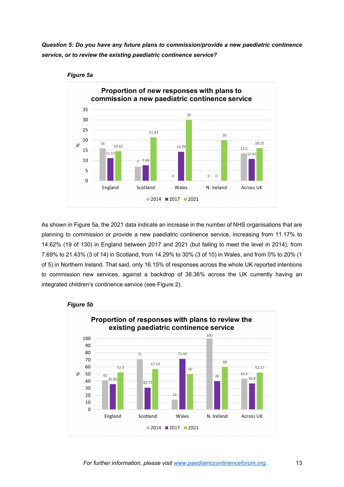*Question 5: Do you have any future plans to commission/provide a new paediatric continence service, or to review the existing paediatric continence service?*



#### *Figure 5a*

As shown in Figure 5a, the 2021 data indicate an increase in the number of NHS organisations that are planning to commission or provide a new paediatric continence service, increasing from 11.17% to 14.62% (19 of 130) in England between 2017 and 2021 (but failing to meet the level in 2014), from 7.69% to 21.43% (3 of 14) in Scotland, from 14.29% to 30% (3 of 10) in Wales, and from 0% to 20% (1 of 5) in Northern Ireland. That said, only 16.15% of responses across the whole UK reported intentions to commission new services, against a backdrop of 38.36% across the UK currently having an integrated children's continence service (see Figure 2).



#### *Figure 5b*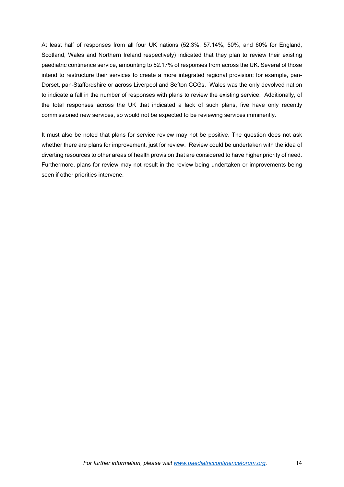At least half of responses from all four UK nations (52.3%, 57.14%, 50%, and 60% for England, Scotland, Wales and Northern Ireland respectively) indicated that they plan to review their existing paediatric continence service, amounting to 52.17% of responses from across the UK. Several of those intend to restructure their services to create a more integrated regional provision; for example, pan-Dorset, pan-Staffordshire or across Liverpool and Sefton CCGs. Wales was the only devolved nation to indicate a fall in the number of responses with plans to review the existing service. Additionally, of the total responses across the UK that indicated a lack of such plans, five have only recently commissioned new services, so would not be expected to be reviewing services imminently.

It must also be noted that plans for service review may not be positive. The question does not ask whether there are plans for improvement, just for review. Review could be undertaken with the idea of diverting resources to other areas of health provision that are considered to have higher priority of need. Furthermore, plans for review may not result in the review being undertaken or improvements being seen if other priorities intervene.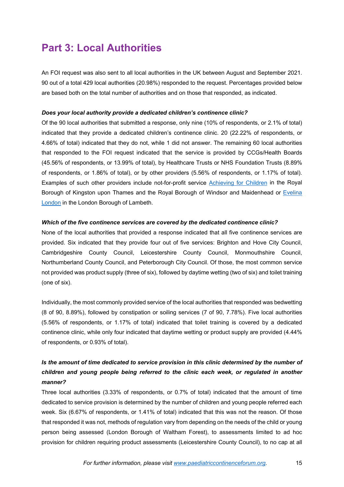# <span id="page-14-0"></span>**Part 3: Local Authorities**

An FOI request was also sent to all local authorities in the UK between August and September 2021. 90 out of a total 429 local authorities (20.98%) responded to the request. Percentages provided below are based both on the total number of authorities and on those that responded, as indicated.

#### *Does your local authority provide a dedicated children's continence clinic?*

Of the 90 local authorities that submitted a response, only nine (10% of respondents, or 2.1% of total) indicated that they provide a dedicated children's continence clinic. 20 (22.22% of respondents, or 4.66% of total) indicated that they do not, while 1 did not answer. The remaining 60 local authorities that responded to the FOI request indicated that the service is provided by CCGs/Health Boards (45.56% of respondents, or 13.99% of total), by Healthcare Trusts or NHS Foundation Trusts (8.89% of respondents, or 1.86% of total), or by other providers (5.56% of respondents, or 1.17% of total). Examples of such other providers include not-for-profit service [Achieving for Children](https://www.achievingforchildren.org.uk/) in the Royal Borough of Kingston upon Thames and the Royal Borough of Windsor and Maidenhead or [Evelina](https://www.evelinalondon.nhs.uk/Home.aspx)  [London](https://www.evelinalondon.nhs.uk/Home.aspx) in the London Borough of Lambeth.

#### *Which of the five continence services are covered by the dedicated continence clinic?*

None of the local authorities that provided a response indicated that all five continence services are provided. Six indicated that they provide four out of five services: Brighton and Hove City Council, Cambridgeshire County Council, Leicestershire County Council, Monmouthshire Council, Northumberland County Council, and Peterborough City Council. Of those, the most common service not provided was product supply (three of six), followed by daytime wetting (two of six) and toilet training (one of six).

Individually, the most commonly provided service of the local authorities that responded was bedwetting (8 of 90, 8.89%), followed by constipation or soiling services (7 of 90, 7.78%). Five local authorities (5.56% of respondents, or 1.17% of total) indicated that toilet training is covered by a dedicated continence clinic, while only four indicated that daytime wetting or product supply are provided (4.44% of respondents, or 0.93% of total).

### *Is the amount of time dedicated to service provision in this clinic determined by the number of children and young people being referred to the clinic each week, or regulated in another manner?*

Three local authorities (3.33% of respondents, or 0.7% of total) indicated that the amount of time dedicated to service provision is determined by the number of children and young people referred each week. Six (6.67% of respondents, or 1.41% of total) indicated that this was not the reason. Of those that responded it was not, methods of regulation vary from depending on the needs of the child or young person being assessed (London Borough of Waltham Forest), to assessments limited to ad hoc provision for children requiring product assessments (Leicestershire County Council), to no cap at all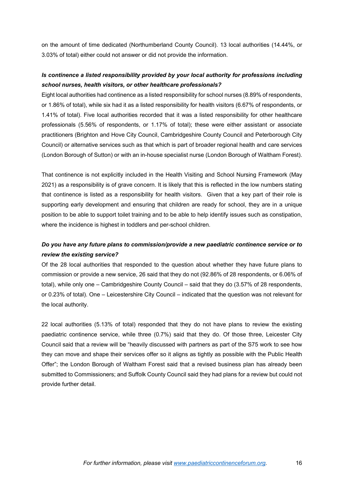on the amount of time dedicated (Northumberland County Council). 13 local authorities (14.44%, or 3.03% of total) either could not answer or did not provide the information.

### *Is continence a listed responsibility provided by your local authority for professions including school nurses, health visitors, or other healthcare professionals?*

Eight local authorities had continence as a listed responsibility for school nurses (8.89% of respondents, or 1.86% of total), while six had it as a listed responsibility for health visitors (6.67% of respondents, or 1.41% of total). Five local authorities recorded that it was a listed responsibility for other healthcare professionals (5.56% of respondents, or 1.17% of total); these were either assistant or associate practitioners (Brighton and Hove City Council, Cambridgeshire County Council and Peterborough City Council) or alternative services such as that which is part of broader regional health and care services (London Borough of Sutton) or with an in-house specialist nurse (London Borough of Waltham Forest).

That continence is not explicitly included in the Health Visiting and School Nursing Framework (May 2021) as a responsibility is of grave concern. It is likely that this is reflected in the low numbers stating that continence is listed as a responsibility for health visitors. Given that a key part of their role is supporting early development and ensuring that children are ready for school, they are in a unique position to be able to support toilet training and to be able to help identify issues such as constipation, where the incidence is highest in toddlers and per-school children.

### *Do you have any future plans to commission/provide a new paediatric continence service or to review the existing service?*

Of the 28 local authorities that responded to the question about whether they have future plans to commission or provide a new service, 26 said that they do not (92.86% of 28 respondents, or 6.06% of total), while only one – Cambridgeshire County Council – said that they do (3.57% of 28 respondents, or 0.23% of total). One – Leicestershire City Council – indicated that the question was not relevant for the local authority.

22 local authorities (5.13% of total) responded that they do not have plans to review the existing paediatric continence service, while three (0.7%) said that they do. Of those three, Leicester City Council said that a review will be "heavily discussed with partners as part of the S75 work to see how they can move and shape their services offer so it aligns as tightly as possible with the Public Health Offer"; the London Borough of Waltham Forest said that a revised business plan has already been submitted to Commissioners; and Suffolk County Council said they had plans for a review but could not provide further detail.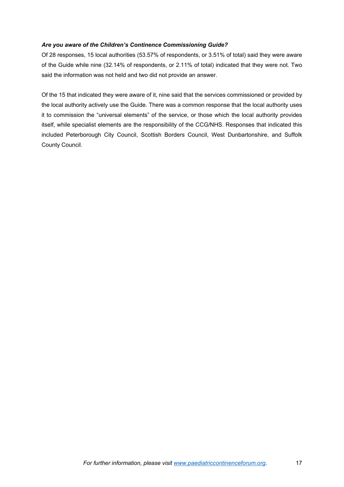#### *Are you aware of the Children's Continence Commissioning Guide?*

Of 28 responses, 15 local authorities (53.57% of respondents, or 3.51% of total) said they were aware of the Guide while nine (32.14% of respondents, or 2.11% of total) indicated that they were not. Two said the information was not held and two did not provide an answer.

Of the 15 that indicated they were aware of it, nine said that the services commissioned or provided by the local authority actively use the Guide. There was a common response that the local authority uses it to commission the "universal elements" of the service, or those which the local authority provides itself, while specialist elements are the responsibility of the CCG/NHS. Responses that indicated this included Peterborough City Council, Scottish Borders Council, West Dunbartonshire, and Suffolk County Council.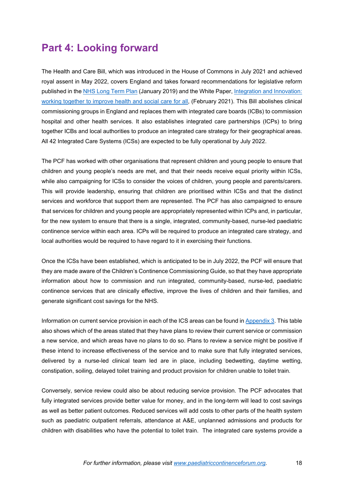# <span id="page-17-0"></span>**Part 4: Looking forward**

The Health and Care Bill, which was introduced in the House of Commons in July 2021 and achieved royal assent in May 2022, covers England and takes forward recommendations for legislative reform published in the [NHS Long Term Plan](https://www.longtermplan.nhs.uk/online-version/chapter-7-next-steps/possible-legislative-change/) (January 2019) and the White Paper, [Integration and Innovation:](https://assets.publishing.service.gov.uk/government/uploads/system/uploads/attachment_data/file/960548/integration-and-innovation-working-together-to-improve-health-and-social-care-for-all-web-version.pdf) [working together to improve health and social care for all,](https://assets.publishing.service.gov.uk/government/uploads/system/uploads/attachment_data/file/960548/integration-and-innovation-working-together-to-improve-health-and-social-care-for-all-web-version.pdf) (February 2021). This Bill abolishes clinical commissioning groups in England and replaces them with integrated care boards (ICBs) to commission hospital and other health services. It also establishes integrated care partnerships (ICPs) to bring together ICBs and local authorities to produce an integrated care strategy for their geographical areas. All 42 Integrated Care Systems (ICSs) are expected to be fully operational by July 2022.

The PCF has worked with other organisations that represent children and young people to ensure that children and young people's needs are met, and that their needs receive equal priority within ICSs, while also campaigning for ICSs to consider the voices of children, young people and parents/carers. This will provide leadership, ensuring that children are prioritised within ICSs and that the distinct services and workforce that support them are represented. The PCF has also campaigned to ensure that services for children and young people are appropriately represented within ICPs and, in particular, for the new system to ensure that there is a single, integrated, community-based, nurse-led paediatric continence service within each area. ICPs will be required to produce an integrated care strategy, and local authorities would be required to have regard to it in exercising their functions.

Once the ICSs have been established, which is anticipated to be in July 2022, the PCF will ensure that they are made aware of the Children's Continence Commissioning Guide, so that they have appropriate information about how to commission and run integrated, community-based, nurse-led, paediatric continence services that are clinically effective, improve the lives of children and their families, and generate significant cost savings for the NHS.

Information on current service provision in each of the ICS areas can be found in [Appendix 3.](#page-26-0) This table also shows which of the areas stated that they have plans to review their current service or commission a new service, and which areas have no plans to do so. Plans to review a service might be positive if these intend to increase effectiveness of the service and to make sure that fully integrated services, delivered by a nurse-led clinical team led are in place, including bedwetting, daytime wetting, constipation, soiling, delayed toilet training and product provision for children unable to toilet train.

Conversely, service review could also be about reducing service provision. The PCF advocates that fully integrated services provide better value for money, and in the long-term will lead to cost savings as well as better patient outcomes. Reduced services will add costs to other parts of the health system such as paediatric outpatient referrals, attendance at A&E, unplanned admissions and products for children with disabilities who have the potential to toilet train. The integrated care systems provide a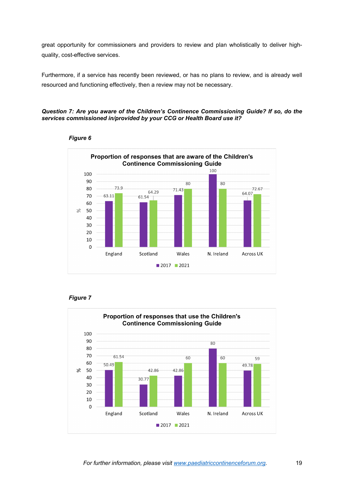great opportunity for commissioners and providers to review and plan wholistically to deliver highquality, cost-effective services.

Furthermore, if a service has recently been reviewed, or has no plans to review, and is already well resourced and functioning effectively, then a review may not be necessary.

#### *Question 7: Are you aware of the Children's Continence Commissioning Guide? If so, do the services commissioned in/provided by your CCG or Health Board use it?*



#### *Figure 6*



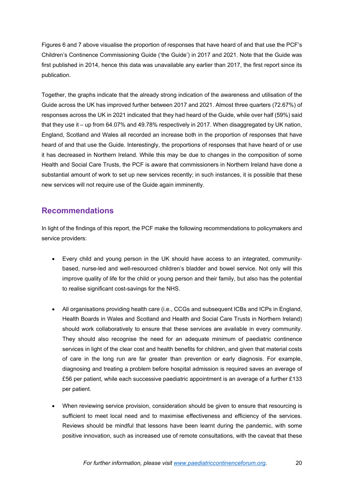Figures 6 and 7 above visualise the proportion of responses that have heard of and that use the PCF's Children's Continence Commissioning Guide ('the Guide') in 2017 and 2021. Note that the Guide was first published in 2014, hence this data was unavailable any earlier than 2017, the first report since its publication.

Together, the graphs indicate that the already strong indication of the awareness and utilisation of the Guide across the UK has improved further between 2017 and 2021. Almost three quarters (72.67%) of responses across the UK in 2021 indicated that they had heard of the Guide, while over half (59%) said that they use it – up from 64.07% and 49.78% respectively in 2017. When disaggregated by UK nation, England, Scotland and Wales all recorded an increase both in the proportion of responses that have heard of and that use the Guide. Interestingly, the proportions of responses that have heard of or use it has decreased in Northern Ireland. While this may be due to changes in the composition of some Health and Social Care Trusts, the PCF is aware that commissioners in Northern Ireland have done a substantial amount of work to set up new services recently; in such instances, it is possible that these new services will not require use of the Guide again imminently.

### <span id="page-19-0"></span>**Recommendations**

In light of the findings of this report, the PCF make the following recommendations to policymakers and service providers:

- Every child and young person in the UK should have access to an integrated, communitybased, nurse-led and well-resourced children's bladder and bowel service. Not only will this improve quality of life for the child or young person and their family, but also has the potential to realise significant cost-savings for the NHS.
- All organisations providing health care (i.e., CCGs and subsequent ICBs and ICPs in England, Health Boards in Wales and Scotland and Health and Social Care Trusts in Northern Ireland) should work collaboratively to ensure that these services are available in every community. They should also recognise the need for an adequate minimum of paediatric continence services in light of the clear cost and health benefits for children, and given that material costs of care in the long run are far greater than prevention or early diagnosis. For example, diagnosing and treating a problem before hospital admission is required saves an average of £56 per patient, while each successive paediatric appointment is an average of a further £133 per patient.
- When reviewing service provision, consideration should be given to ensure that resourcing is sufficient to meet local need and to maximise effectiveness and efficiency of the services. Reviews should be mindful that lessons have been learnt during the pandemic, with some positive innovation, such as increased use of remote consultations, with the caveat that these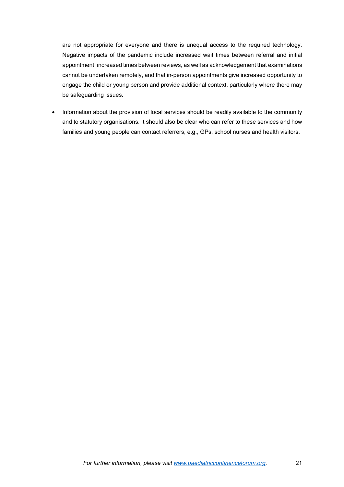are not appropriate for everyone and there is unequal access to the required technology. Negative impacts of the pandemic include increased wait times between referral and initial appointment, increased times between reviews, as well as acknowledgement that examinations cannot be undertaken remotely, and that in-person appointments give increased opportunity to engage the child or young person and provide additional context, particularly where there may be safeguarding issues.

• Information about the provision of local services should be readily available to the community and to statutory organisations. It should also be clear who can refer to these services and how families and young people can contact referrers, e.g., GPs, school nurses and health visitors.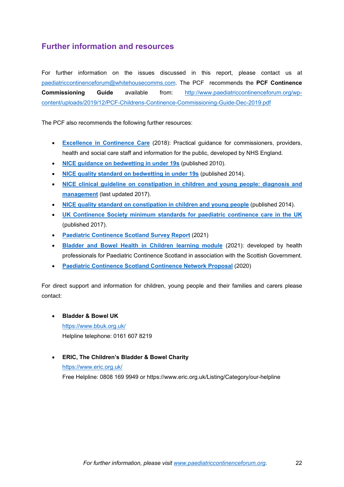### <span id="page-21-0"></span>**Further information and resources**

For further information on the issues discussed in this report, please contact us at [paediatriccontinenceforum@whitehousecomms.com.](mailto:paediatriccontinenceforum@whitehousecomms.com) The PCF recommends the **PCF Continence Commissioning Guide** available from: [http://www.paediatriccontinenceforum.org/wp](http://www.paediatriccontinenceforum.org/wp-content/uploads/2019/12/PCF-Childrens-Continence-Commissioning-Guide-Dec-2019.pdf)[content/uploads/2019/12/PCF-Childrens-Continence-Commissioning-Guide-Dec-2019.pdf](http://www.paediatriccontinenceforum.org/wp-content/uploads/2019/12/PCF-Childrens-Continence-Commissioning-Guide-Dec-2019.pdf) 

The PCF also recommends the following further resources:

- **[Excellence in Continence Care](https://www.england.nhs.uk/wp-content/uploads/2018/07/excellence-in-continence-care.pdf)** (2018): Practical guidance for commissioners, providers, health and social care staff and information for the public, developed by NHS England.
- **[NICE guidance on bedwetting in under 19s](https://www.nice.org.uk/guidance/cg111)** (published 2010).
- **[NICE quality standard on bedwetting in under 19s](https://www.nice.org.uk/Guidance/QS70)** (published 2014).
- **[NICE clinical guideline on constipation in children and young people: diagnosis and](https://www.nice.org.uk/guidance/cg99)  [management](https://www.nice.org.uk/guidance/cg99)** (last updated 2017).
- **[NICE quality standard on constipation in children and young people](https://www.nice.org.uk/Guidance/QS62)** (published 2014).
- **[UK Continence Society minimum standards for](http://www.paediatriccontinenceforum.org/wp-content/uploads/2017/07/MINIMUM-STANDARDS-for-PAEDIATRIC-CONTINENCE-CARE-July-2017-FINAL.pdf) paediatric continence care in the UK** (published 2017).
- **[Paediatric Continence Scotland Survey Report](http://www.paediatriccontinence.scot.nhs.uk/wp-content/uploads/2022/05/PCS-report-final-draft.pdf)** (2021)
- **[Bladder and Bowel Health in Children learning module](https://www.paediatriccontinence2.scot.nhs.uk/story_html5)** (2021): developed by health professionals for Paediatric Continence Scotland in association with the Scottish Government.
- **[Paediatric Continence Scotland Continence Network Proposal](http://www.paediatriccontinence.scot.nhs.uk/wp-content/uploads/2022/05/Continence-Network-Proposal-Updated-2020.pdf)** (2020)

For direct support and information for children, young people and their families and carers please contact:

- **Bladder & Bowel UK** <https://www.bbuk.org.uk/> Helpline telephone: 0161 607 8219
- **ERIC, The Children's Bladder & Bowel Charity** <https://www.eric.org.uk/> Free Helpline: 0808 169 9949 or https://www.eric.org.uk/Listing/Category/our-helpline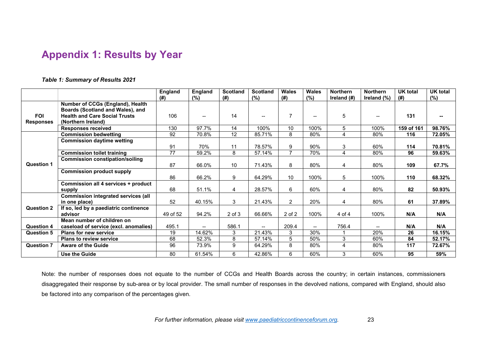# **Appendix 1: Results by Year**

*Table 1: Summary of Results 2021*

|                   |                                            | England  | <b>England</b> | <b>Scotland</b> | <b>Scotland</b>   | <b>Wales</b>   | <b>Wales</b>             | <b>Northern</b> | <b>Northern</b>          | <b>UK total</b> | <b>UK total</b> |
|-------------------|--------------------------------------------|----------|----------------|-----------------|-------------------|----------------|--------------------------|-----------------|--------------------------|-----------------|-----------------|
|                   |                                            | (# )     | (%)            | (#)             | (%)               | (# )           | (%)                      | Ireland (#)     | Ireland (%)              | (# )            | (%)             |
|                   | Number of CCGs (England), Health           |          |                |                 |                   |                |                          |                 |                          |                 |                 |
|                   | Boards (Scotland and Wales), and           |          |                |                 |                   |                |                          |                 |                          |                 |                 |
| <b>FOI</b>        | <b>Health and Care Social Trusts</b>       | 106      | --             | 14              |                   | $\overline{7}$ | $\overline{\phantom{a}}$ | 5               | $\overline{\phantom{a}}$ | 131             |                 |
| <b>Responses</b>  | (Northern Ireland)                         |          |                |                 |                   |                |                          |                 |                          |                 |                 |
|                   | <b>Responses received</b>                  | 130      | 97.7%          | 14              | 100%              | 10             | 100%                     | 5               | 100%                     | 159 of 161      | 98.76%          |
|                   | <b>Commission bedwetting</b>               | 92       | 70.8%          | 12              | 85.71%            | 8              | 80%                      | $\overline{A}$  | 80%                      | 116             | 72.05%          |
|                   | <b>Commission daytime wetting</b>          |          |                |                 |                   |                |                          |                 |                          |                 |                 |
|                   |                                            | 91       | 70%            | 11              | 78.57%            | 9              | 90%                      | 3               | 60%                      | 114             | 70.81%          |
|                   | <b>Commission toilet training</b>          | 77       | 59.2%          | 8               | 57.14%            | $\overline{7}$ | 70%                      | 4               | 80%                      | 96              | 59.63%          |
|                   | <b>Commission constipation/soiling</b>     |          |                |                 |                   |                |                          |                 |                          |                 |                 |
| <b>Question 1</b> |                                            | 87       | 66.0%          | 10              | 71.43%            | 8              | 80%                      | $\overline{4}$  | 80%                      | 109             | 67.7%           |
|                   | <b>Commission product supply</b>           |          |                |                 |                   |                |                          |                 |                          |                 |                 |
|                   |                                            | 86       | 66.2%          | 9               | 64.29%            | 10             | 100%                     | 5               | 100%                     | 110             | 68.32%          |
|                   | Commission all 4 services + product        |          |                |                 |                   |                |                          |                 |                          |                 |                 |
|                   | supply                                     | 68       | 51.1%          | 4               | 28.57%            | 6              | 60%                      | 4               | 80%                      | 82              | 50.93%          |
|                   | <b>Commission integrated services (all</b> |          |                |                 |                   |                |                          |                 |                          |                 |                 |
|                   | in one place)                              | 52       | 40.15%         | 3               | 21.43%            | 2              | 20%                      | 4               | 80%                      | 61              | 37.89%          |
| <b>Question 2</b> | If so, led by a paediatric continence      |          |                |                 |                   |                |                          |                 |                          |                 |                 |
|                   | advisor                                    | 49 of 52 | 94.2%          | $2$ of $3$      | 66.66%            | 2 of 2         | 100%                     | 4 of 4          | 100%                     | N/A             | N/A             |
|                   | Mean number of children on                 |          |                |                 |                   |                |                          |                 |                          |                 |                 |
| <b>Question 4</b> | caseload of service (excl. anomalies)      | 495.1    | --             | 586.1           | $\qquad \qquad -$ | 209.4          | $\overline{\phantom{a}}$ | 756.4           | $\overline{\phantom{a}}$ | N/A             | N/A             |
| <b>Question 5</b> | <b>Plans for new service</b>               | 19       | 14.62%         | 3               | 21.43%            | 3              | 30%                      |                 | 20%                      | 26              | 16.15%          |
|                   | <b>Plans to review service</b>             | 68       | 52.3%          | 8               | 57.14%            | 5              | 50%                      | 3               | 60%                      | 84              | 52.17%          |
| <b>Question 7</b> | <b>Aware of the Guide</b>                  | 96       | 73.9%          | 9               | 64.29%            | 8              | 80%                      | 4               | 80%                      | 117             | 72.67%          |
|                   | Use the Guide                              | 80       | 61.54%         | 6               | 42.86%            | 6              | 60%                      | 3               | 60%                      | 95              | 59%             |

<span id="page-22-0"></span>Note: the number of responses does not equate to the number of CCGs and Health Boards across the country; in certain instances, commissioners disaggregated their response by sub-area or by local provider. The small number of responses in the devolved nations, compared with England, should also be factored into any comparison of the percentages given.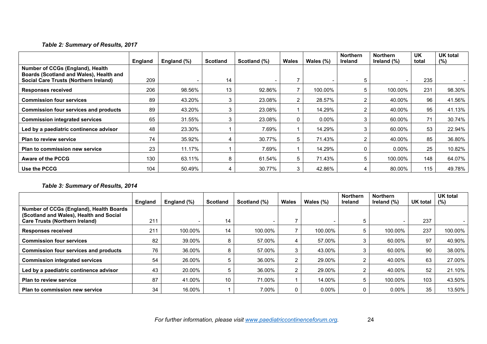### *Table 2: Summary of Results, 2017*

|                                                                             | England | England (%) | <b>Scotland</b> | Scotland (%) | Wales | Wales $(\%)$ | <b>Northern</b><br>Ireland | <b>Northern</b><br>Ireland $(\%)$ | <b>UK</b><br>total | UK total<br>(%) |
|-----------------------------------------------------------------------------|---------|-------------|-----------------|--------------|-------|--------------|----------------------------|-----------------------------------|--------------------|-----------------|
| Number of CCGs (England), Health<br>Boards (Scotland and Wales), Health and |         |             |                 |              |       |              |                            |                                   |                    |                 |
| <b>Social Care Trusts (Northern Ireland)</b>                                | 209     |             | 14              |              |       |              |                            |                                   | 235                |                 |
| <b>Responses received</b>                                                   | 206     | 98.56%      | 13              | 92.86%       |       | 100.00%      |                            | 100.00%                           | 231                | 98.30%          |
| <b>Commission four services</b>                                             | 89      | 43.20%      | 3               | 23.08%       | 2     | 28.57%       |                            | 40.00%                            | 96                 | 41.56%          |
| <b>Commission four services and products</b>                                | 89      | 43.20%      | 3               | 23.08%       |       | 14.29%       |                            | 40.00%                            | 95                 | 41.13%          |
| <b>Commission integrated services</b>                                       | 65      | 31.55%      |                 | 23.08%       | 0     | $0.00\%$     |                            | 60.00%                            | 71                 | 30.74%          |
| Led by a paediatric continence advisor                                      | 48      | 23.30%      |                 | 7.69%        |       | 14.29%       |                            | 60.00%                            | 53                 | 22.94%          |
| <b>Plan to review service</b>                                               | 74      | 35.92%      |                 | 30.77%       | 5     | 71.43%       | ົ                          | 40.00%                            | 85                 | 36.80%          |
| Plan to commission new service                                              | 23      | 11.17%      |                 | 7.69%        |       | 14.29%       |                            | $0.00\%$                          | 25                 | 10.82%          |
| <b>Aware of the PCCG</b>                                                    | 130     | 63.11%      | 8               | 61.54%       | 5     | 71.43%       | 5                          | 100.00%                           | 148                | 64.07%          |
| Use the PCCG                                                                | 104     | 50.49%      |                 | 30.77%       | 3     | 42.86%       | 4                          | 80.00%                            | 115                | 49.78%          |

### *Table 3: Summary of Results, 2014*

|                                                                                    | <b>England</b> | England (%) | Scotland | Scotland (%) | Wales | Wales $(\%)$ | <b>Northern</b><br><b>Ireland</b> | <b>Northern</b><br>Ireland (%) | UK total | <b>UK total</b><br>$(\%)$ |
|------------------------------------------------------------------------------------|----------------|-------------|----------|--------------|-------|--------------|-----------------------------------|--------------------------------|----------|---------------------------|
| Number of CCGs (England), Health Boards<br>(Scotland and Wales), Health and Social |                |             |          |              |       |              |                                   |                                |          |                           |
| <b>Care Trusts (Northern Ireland)</b>                                              | 211            |             | 14       |              |       |              |                                   |                                | 237      |                           |
| <b>Responses received</b>                                                          | 211            | 100.00%     | 14       | 100.00%      |       | 100.00%      |                                   | 100.00%                        | 237      | 100.00%                   |
| <b>Commission four services</b>                                                    | 82             | 39.00%      | Õ        | 57.00%       | 4     | 57.00%       |                                   | 60.00%                         | 97       | 40.90%                    |
| <b>Commission four services and products</b>                                       | 76             | 36.00%      |          | 57.00%       | 3     | 43.00%       |                                   | 60.00%                         | 90       | 38.00%                    |
| <b>Commission integrated services</b>                                              | 54             | 26.00%      |          | 36.00%       | ົ     | 29.00%       |                                   | 40.00%                         | 63       | 27.00%                    |
| Led by a paediatric continence advisor                                             | 43             | 20.00%      |          | 36.00%       | റ     | 29.00%       |                                   | 40.00%                         | 52       | 21.10%                    |
| <b>Plan to review service</b>                                                      | 87             | 41.00%      | 10       | 71.00%       |       | 14.00%       |                                   | 100.00%                        | 103      | 43.50%                    |
| Plan to commission new service                                                     | 34             | 16.00%      |          | 7.00%        |       | $0.00\%$     |                                   | $0.00\%$                       | 35       | 13.50%                    |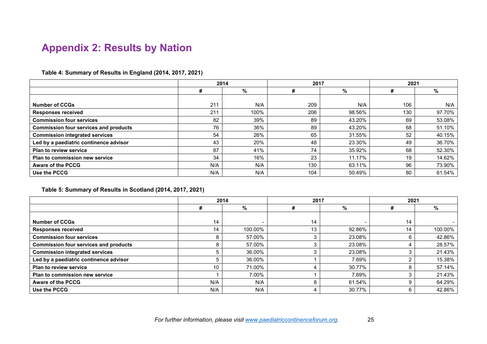# **Appendix 2: Results by Nation**

#### **Table 4: Summary of Results in England (2014, 2017, 2021)**

|                                              | 2014 |      | 2017 |        | 2021 |        |
|----------------------------------------------|------|------|------|--------|------|--------|
|                                              | #    | %    |      | %      | ₮    | %      |
|                                              |      |      |      |        |      |        |
| <b>Number of CCGs</b>                        | 211  | N/A  | 209  | N/A    | 106  | N/A    |
| <b>Responses received</b>                    | 211  | 100% | 206  | 98.56% | 130  | 97.70% |
| <b>Commission four services</b>              | 82   | 39%  | 89   | 43.20% | 69   | 53.08% |
| <b>Commission four services and products</b> | 76   | 36%  | 89   | 43.20% | 68   | 51.10% |
| <b>Commission integrated services</b>        | 54   | 26%  | 65   | 31.55% | 52   | 40.15% |
| Led by a paediatric continence advisor       | 43   | 20%  | 48   | 23.30% | 49   | 36.70% |
| <b>Plan to review service</b>                | 87   | 41%  | 74   | 35.92% | 68   | 52.30% |
| Plan to commission new service               | 34   | 16%  | 23   | 11.17% | 19   | 14.62% |
| <b>Aware of the PCCG</b>                     | N/A  | N/A  | 130  | 63.11% | 96   | 73.90% |
| Use the PCCG                                 | N/A  | N/A  | 104  | 50.49% | 80   | 61.54% |

#### <span id="page-24-0"></span>**Table 5: Summary of Results in Scotland (2014, 2017, 2021)**

|                                              | 2014 |         | 2017 |        | 2021 |         |
|----------------------------------------------|------|---------|------|--------|------|---------|
|                                              | #    | %       | #    | %      | #    | %       |
|                                              |      |         |      |        |      |         |
| <b>Number of CCGs</b>                        | 14   |         | 14   |        | 14   |         |
| <b>Responses received</b>                    | 14   | 100.00% | 13   | 92.86% | 14   | 100.00% |
| <b>Commission four services</b>              | 8    | 57.00%  | 3    | 23.08% | 6    | 42.86%  |
| <b>Commission four services and products</b> | 8    | 57.00%  | ⌒    | 23.08% |      | 28.57%  |
| <b>Commission integrated services</b>        |      | 36.00%  |      | 23.08% |      | 21.43%  |
| Led by a paediatric continence advisor       |      | 36.00%  |      | 7.69%  |      | 15.38%  |
| <b>Plan to review service</b>                | 10   | 71.00%  |      | 30.77% | 8    | 57.14%  |
| Plan to commission new service               |      | 7.00%   |      | 7.69%  |      | 21.43%  |
| <b>Aware of the PCCG</b>                     | N/A  | N/A     | 8    | 61.54% | 9    | 64.29%  |
| Use the PCCG                                 | N/A  | N/A     | 4    | 30.77% | 6    | 42.86%  |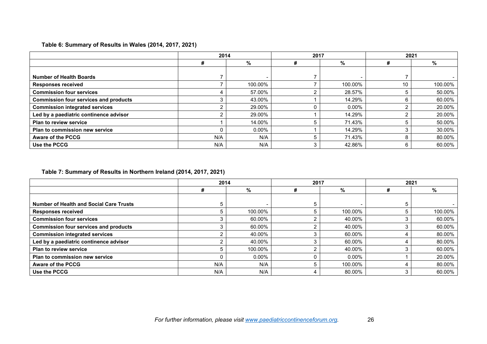### **Table 6: Summary of Results in Wales (2014, 2017, 2021)**

|                                              | 2014 |          | 2017 |          | 2021 |         |
|----------------------------------------------|------|----------|------|----------|------|---------|
|                                              | #    | %        | #    | %        | #    | %       |
|                                              |      |          |      |          |      |         |
| <b>Number of Health Boards</b>               |      |          |      |          |      |         |
| <b>Responses received</b>                    |      | 100.00%  |      | 100.00%  | 10   | 100.00% |
| <b>Commission four services</b>              |      | 57.00%   |      | 28.57%   |      | 50.00%  |
| <b>Commission four services and products</b> |      | 43.00%   |      | 14.29%   | 6    | 60.00%  |
| <b>Commission integrated services</b>        |      | 29.00%   |      | $0.00\%$ |      | 20.00%  |
| Led by a paediatric continence advisor       |      | 29.00%   |      | 14.29%   |      | 20.00%  |
| <b>Plan to review service</b>                |      | 14.00%   |      | 71.43%   |      | 50.00%  |
| Plan to commission new service               |      | $0.00\%$ |      | 14.29%   |      | 30.00%  |
| Aware of the PCCG                            | N/A  | N/A      |      | 71.43%   | 8    | 80.00%  |
| Use the PCCG                                 | N/A  | N/A      | 3    | 42.86%   | 6    | 60.00%  |

#### **Table 7: Summary of Results in Northern Ireland (2014, 2017, 2021)**

|                                                | 2014 |          | 2017 |          | 2021 |         |
|------------------------------------------------|------|----------|------|----------|------|---------|
|                                                | #    | %        | #    | %        | #    | %       |
|                                                |      |          |      |          |      |         |
| <b>Number of Health and Social Care Trusts</b> |      |          | 5.   |          | b    |         |
| <b>Responses received</b>                      |      | 100.00%  | 5    | 100.00%  |      | 100.00% |
| <b>Commission four services</b>                |      | 60.00%   |      | 40.00%   |      | 60.00%  |
| <b>Commission four services and products</b>   |      | 60.00%   |      | 40.00%   |      | 60.00%  |
| <b>Commission integrated services</b>          |      | 40.00%   |      | 60.00%   |      | 80.00%  |
| Led by a paediatric continence advisor         |      | 40.00%   |      | 60.00%   |      | 80.00%  |
| <b>Plan to review service</b>                  |      | 100.00%  |      | 40.00%   |      | 60.00%  |
| Plan to commission new service                 |      | $0.00\%$ |      | $0.00\%$ |      | 20.00%  |
| <b>Aware of the PCCG</b>                       | N/A  | N/A      |      | 100.00%  |      | 80.00%  |
| Use the PCCG                                   | N/A  | N/A      |      | 80.00%   |      | 60.00%  |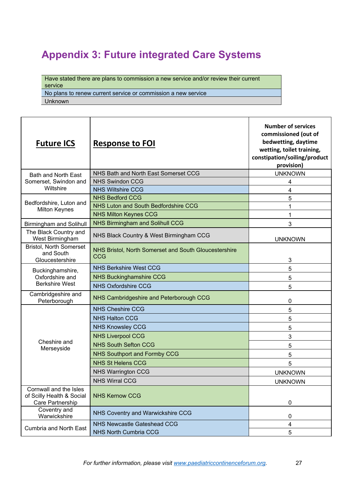# <span id="page-26-0"></span>**Appendix 3: Future integrated Care Systems**

Have stated there are plans to commission a new service and/or review their current service

No plans to renew current service or commission a new service

Unknown

| <b>Future ICS</b>                                                       | <b>Response to FOI</b>                                              | <b>Number of services</b><br>commissioned (out of<br>bedwetting, daytime<br>wetting, toilet training,<br>constipation/soiling/product<br>provision) |
|-------------------------------------------------------------------------|---------------------------------------------------------------------|-----------------------------------------------------------------------------------------------------------------------------------------------------|
| <b>Bath and North East</b>                                              | NHS Bath and North East Somerset CCG                                | <b>UNKNOWN</b>                                                                                                                                      |
| Somerset, Swindon and                                                   | <b>NHS Swindon CCG</b>                                              | 4                                                                                                                                                   |
| Wiltshire                                                               | <b>NHS Wiltshire CCG</b>                                            | 4                                                                                                                                                   |
| Bedfordshire, Luton and                                                 | <b>NHS Bedford CCG</b>                                              | 5                                                                                                                                                   |
| <b>Milton Keynes</b>                                                    | NHS Luton and South Bedfordshire CCG                                | 1                                                                                                                                                   |
|                                                                         | <b>NHS Milton Keynes CCG</b>                                        | 1                                                                                                                                                   |
| <b>Birmingham and Solihull</b>                                          | <b>NHS Birmingham and Solihull CCG</b>                              | 3                                                                                                                                                   |
| The Black Country and<br>West Birmingham                                | NHS Black Country & West Birmingham CCG                             | <b>UNKNOWN</b>                                                                                                                                      |
| <b>Bristol, North Somerset</b><br>and South<br>Gloucestershire          | NHS Bristol, North Somerset and South Gloucestershire<br><b>CCG</b> | 3                                                                                                                                                   |
| Buckinghamshire,                                                        | <b>NHS Berkshire West CCG</b>                                       | 5                                                                                                                                                   |
| Oxfordshire and                                                         | <b>NHS Buckinghamshire CCG</b>                                      | 5                                                                                                                                                   |
| <b>Berkshire West</b>                                                   | <b>NHS Oxfordshire CCG</b>                                          | 5                                                                                                                                                   |
| Cambridgeshire and<br>Peterborough                                      | NHS Cambridgeshire and Peterborough CCG                             | 0                                                                                                                                                   |
|                                                                         | <b>NHS Cheshire CCG</b>                                             | 5                                                                                                                                                   |
|                                                                         | <b>NHS Halton CCG</b>                                               | 5                                                                                                                                                   |
|                                                                         | <b>NHS Knowsley CCG</b>                                             | 5                                                                                                                                                   |
|                                                                         | <b>NHS Liverpool CCG</b>                                            | 3                                                                                                                                                   |
| Cheshire and                                                            | <b>NHS South Sefton CCG</b>                                         | 5                                                                                                                                                   |
| Merseyside                                                              | <b>NHS Southport and Formby CCG</b>                                 | 5                                                                                                                                                   |
|                                                                         | <b>NHS St Helens CCG</b>                                            | 5                                                                                                                                                   |
|                                                                         | <b>NHS Warrington CCG</b>                                           | <b>UNKNOWN</b>                                                                                                                                      |
|                                                                         | <b>NHS Wirral CCG</b>                                               | <b>UNKNOWN</b>                                                                                                                                      |
| Cornwall and the Isles<br>of Scilly Health & Social<br>Care Partnership | <b>NHS Kernow CCG</b>                                               | $\mathbf 0$                                                                                                                                         |
| Coventry and<br>Warwickshire                                            | NHS Coventry and Warwickshire CCG                                   | $\mathbf 0$                                                                                                                                         |
| <b>Cumbria and North East</b>                                           | <b>NHS Newcastle Gateshead CCG</b>                                  | $\overline{\mathbf{4}}$                                                                                                                             |
|                                                                         | <b>NHS North Cumbria CCG</b>                                        | 5                                                                                                                                                   |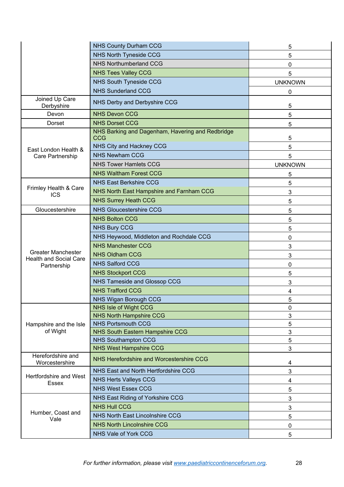|                                              | <b>NHS County Durham CCG</b>                                   | 5              |
|----------------------------------------------|----------------------------------------------------------------|----------------|
|                                              | <b>NHS North Tyneside CCG</b>                                  | 5              |
|                                              | <b>NHS Northumberland CCG</b>                                  | 0              |
|                                              | <b>NHS Tees Valley CCG</b>                                     | 5              |
|                                              | <b>NHS South Tyneside CCG</b>                                  | <b>UNKNOWN</b> |
|                                              | <b>NHS Sunderland CCG</b>                                      | 0              |
| Joined Up Care<br>Derbyshire                 | NHS Derby and Derbyshire CCG                                   | 5              |
| Devon                                        | <b>NHS Devon CCG</b>                                           | 5              |
| Dorset                                       | <b>NHS Dorset CCG</b>                                          | 5              |
|                                              | NHS Barking and Dagenham, Havering and Redbridge<br><b>CCG</b> | 5              |
| East London Health &                         | NHS City and Hackney CCG                                       | 5              |
| Care Partnership                             | <b>NHS Newham CCG</b>                                          | 5              |
|                                              | <b>NHS Tower Hamlets CCG</b>                                   | <b>UNKNOWN</b> |
|                                              | <b>NHS Waltham Forest CCG</b>                                  | 5              |
|                                              | <b>NHS East Berkshire CCG</b>                                  | 5              |
| Frimley Health & Care<br><b>ICS</b>          | NHS North East Hampshire and Farnham CCG                       | 3              |
|                                              | <b>NHS Surrey Heath CCG</b>                                    | 5              |
| Gloucestershire                              | <b>NHS Gloucestershire CCG</b>                                 | 5              |
|                                              | <b>NHS Bolton CCG</b>                                          | 5              |
|                                              | <b>NHS Bury CCG</b>                                            | 5              |
|                                              | NHS Heywood, Middleton and Rochdale CCG                        | 0              |
|                                              | <b>NHS Manchester CCG</b>                                      | 3              |
| <b>Greater Manchester</b>                    | <b>NHS Oldham CCG</b>                                          | 3              |
| <b>Health and Social Care</b><br>Partnership | <b>NHS Salford CCG</b>                                         | 0              |
|                                              | <b>NHS Stockport CCG</b>                                       | 5              |
|                                              | NHS Tameside and Glossop CCG                                   | 3              |
|                                              | <b>NHS Trafford CCG</b>                                        | 4              |
|                                              | <b>NHS Wigan Borough CCG</b>                                   | 5              |
|                                              | NHS Isle of Wight CCG                                          | 0              |
|                                              | <b>NHS North Hampshire CCG</b>                                 | $\mathbf{3}$   |
| Hampshire and the Isle                       | <b>NHS Portsmouth CCG</b>                                      | 5              |
| of Wight                                     | NHS South Eastern Hampshire CCG                                | 3              |
|                                              | <b>NHS Southampton CCG</b>                                     | 5              |
| Herefordshire and                            | <b>NHS West Hampshire CCG</b>                                  | 3              |
| Worcestershire                               | NHS Herefordshire and Worcestershire CCG                       | 4              |
| Hertfordshire and West                       | NHS East and North Hertfordshire CCG                           | $\mathbf{3}$   |
| Essex                                        | <b>NHS Herts Valleys CCG</b>                                   | 4              |
|                                              | <b>NHS West Essex CCG</b>                                      | 5              |
|                                              | NHS East Riding of Yorkshire CCG                               | 3              |
|                                              | <b>NHS Hull CCG</b>                                            | $\mathbf{3}$   |
| Humber, Coast and<br>Vale                    | NHS North East Lincolnshire CCG                                | 5              |
|                                              | <b>NHS North Lincolnshire CCG</b>                              | 0              |
|                                              | NHS Vale of York CCG                                           | 5              |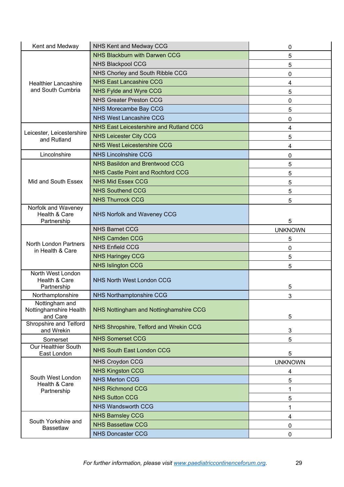| Kent and Medway                                      | <b>NHS Kent and Medway CCG</b>          | 0              |
|------------------------------------------------------|-----------------------------------------|----------------|
|                                                      | <b>NHS Blackburn with Darwen CCG</b>    | 5              |
|                                                      | <b>NHS Blackpool CCG</b>                | 5              |
|                                                      | NHS Chorley and South Ribble CCG        | 0              |
| <b>Healthier Lancashire</b>                          | <b>NHS East Lancashire CCG</b>          | 4              |
| and South Cumbria                                    | NHS Fylde and Wyre CCG                  | 5              |
|                                                      | <b>NHS Greater Preston CCG</b>          | 0              |
|                                                      | NHS Morecambe Bay CCG                   | 5              |
|                                                      | <b>NHS West Lancashire CCG</b>          | 0              |
|                                                      | NHS East Leicestershire and Rutland CCG | 4              |
| Leicester, Leicestershire<br>and Rutland             | <b>NHS Leicester City CCG</b>           | 5              |
|                                                      | <b>NHS West Leicestershire CCG</b>      | 4              |
| Lincolnshire                                         | <b>NHS Lincolnshire CCG</b>             | $\mathbf 0$    |
|                                                      | <b>NHS Basildon and Brentwood CCG</b>   | 5              |
|                                                      | NHS Castle Point and Rochford CCG       | 5              |
| Mid and South Essex                                  | <b>NHS Mid Essex CCG</b>                | 5              |
|                                                      | <b>NHS Southend CCG</b>                 | 5              |
|                                                      | <b>NHS Thurrock CCG</b>                 | 5              |
| Norfolk and Waveney<br>Health & Care<br>Partnership  | NHS Norfolk and Waveney CCG             | 5              |
|                                                      | <b>NHS Barnet CCG</b>                   | <b>UNKNOWN</b> |
|                                                      | <b>NHS Camden CCG</b>                   | 5              |
| <b>North London Partners</b><br>in Health & Care     | <b>NHS Enfield CCG</b>                  | $\mathbf 0$    |
|                                                      | <b>NHS Haringey CCG</b>                 | 5              |
|                                                      | <b>NHS Islington CCG</b>                | 5              |
| North West London<br>Health & Care<br>Partnership    | <b>NHS North West London CCG</b>        | 5              |
| Northamptonshire                                     | <b>NHS Northamptonshire CCG</b>         | 3              |
| Nottingham and<br>Nottinghamshire Health<br>and Care | NHS Nottingham and Nottinghamshire CCG  | 5              |
| Shropshire and Telford<br>and Wrekin                 | NHS Shropshire, Telford and Wrekin CCG  | 3              |
| Somerset                                             | <b>NHS Somerset CCG</b>                 | 5              |
| <b>Our Healthier South</b><br>East London            | <b>NHS South East London CCG</b>        | 5              |
|                                                      | <b>NHS Croydon CCG</b>                  | <b>UNKNOWN</b> |
|                                                      | <b>NHS Kingston CCG</b>                 | 4              |
| South West London                                    | <b>NHS Merton CCG</b>                   | 5              |
| Health & Care<br>Partnership                         | <b>NHS Richmond CCG</b>                 | 1              |
|                                                      | <b>NHS Sutton CCG</b>                   | 5              |
|                                                      | <b>NHS Wandsworth CCG</b>               | 1              |
|                                                      | <b>NHS Barnsley CCG</b>                 | 4              |
| South Yorkshire and<br><b>Bassetlaw</b>              | <b>NHS Bassetlaw CCG</b>                | $\mathbf 0$    |
|                                                      | <b>NHS Doncaster CCG</b>                | 0              |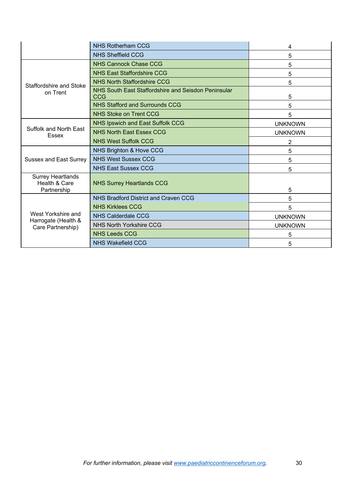|                                                                | <b>NHS Rotherham CCG</b>                                   | 4              |
|----------------------------------------------------------------|------------------------------------------------------------|----------------|
|                                                                | <b>NHS Sheffield CCG</b>                                   | 5              |
| Staffordshire and Stoke<br>on Trent                            | <b>NHS Cannock Chase CCG</b>                               | 5              |
|                                                                | <b>NHS East Staffordshire CCG</b>                          | 5              |
|                                                                | <b>NHS North Staffordshire CCG</b>                         | 5              |
|                                                                | NHS South East Staffordshire and Seisdon Peninsular<br>CCG | 5              |
|                                                                | <b>NHS Stafford and Surrounds CCG</b>                      | 5              |
|                                                                | <b>NHS Stoke on Trent CCG</b>                              | 5              |
| Suffolk and North East<br>Essex                                | <b>NHS Ipswich and East Suffolk CCG</b>                    | <b>UNKNOWN</b> |
|                                                                | <b>NHS North East Essex CCG</b>                            | <b>UNKNOWN</b> |
|                                                                | <b>NHS West Suffolk CCG</b>                                | 2              |
| <b>Sussex and East Surrey</b>                                  | NHS Brighton & Hove CCG                                    | 5              |
|                                                                | <b>NHS West Sussex CCG</b>                                 | 5              |
|                                                                | <b>NHS East Sussex CCG</b>                                 | 5              |
| <b>Surrey Heartlands</b><br>Health & Care                      | <b>NHS Surrey Heartlands CCG</b>                           |                |
| Partnership                                                    |                                                            | 5              |
| West Yorkshire and<br>Harrogate (Health &<br>Care Partnership) | NHS Bradford District and Craven CCG                       | 5              |
|                                                                | <b>NHS Kirklees CCG</b>                                    | 5              |
|                                                                | NHS Calderdale CCG                                         | <b>UNKNOWN</b> |
|                                                                | <b>NHS North Yorkshire CCG</b>                             | <b>UNKNOWN</b> |
|                                                                | <b>NHS Leeds CCG</b>                                       | 5              |
|                                                                | <b>NHS Wakefield CCG</b>                                   | 5              |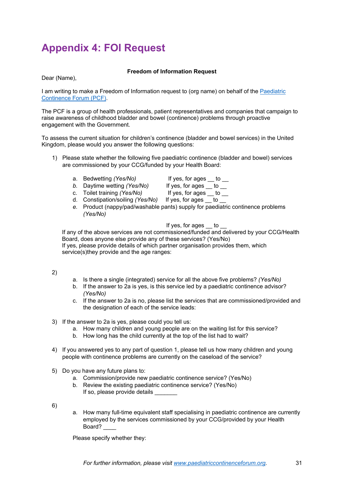# <span id="page-30-0"></span>**Appendix 4: FOI Request**

#### **Freedom of Information Request**

Dear (Name),

I am writing to make a Freedom of Information request to (org name) on behalf of the Paediatric [Continence Forum \(PCF\).](http://www.paediatriccontinenceforum.org/)

The PCF is a group of health professionals, patient representatives and companies that campaign to raise awareness of childhood bladder and bowel (continence) problems through proactive engagement with the Government.

To assess the current situation for children's continence (bladder and bowel services) in the United Kingdom, please would you answer the following questions:

- 1) Please state whether the following five paediatric continence (bladder and bowel) services are commissioned by your CCG/funded by your Health Board:
	- a. Bedwetting *(Yes/No)* If yes, for ages \_\_ to \_\_
	- *b.* Daytime wetting *(Yes/No)* If yes, for ages \_\_ to \_\_
	- c. Toilet training *(Yes/No)* If yes, for ages to
	- d. Constipation/soiling *(Yes/No)* If yes, for ages to
	- *e.* Product (nappy/pad/washable pants) supply for paediatric continence problems *(Yes/No)*

If yes, for ages to

If any of the above services are not commissioned/funded and delivered by your CCG/Health Board, does anyone else provide any of these services? (Yes/No) If yes, please provide details of which partner organisation provides them, which service(s)they provide and the age ranges:

2)

- a. Is there a single (integrated) service for all the above five problems? *(Yes/No)*
- b. If the answer to 2a is yes, is this service led by a paediatric continence advisor? *(Yes/No)*
- c. If the answer to 2a is no, please list the services that are commissioned/provided and the designation of each of the service leads:
- 3) If the answer to 2a is yes, please could you tell us:
	- a. How many children and young people are on the waiting list for this service?
	- b. How long has the child currently at the top of the list had to wait?
- 4) If you answered yes to any part of question 1, please tell us how many children and young people with continence problems are currently on the caseload of the service?
- 5) Do you have any future plans to:
	- a. Commission/provide new paediatric continence service? (Yes/No)
	- b. Review the existing paediatric continence service? (Yes/No) If so, please provide details

6)

a. How many full-time equivalent staff specialising in paediatric continence are currently employed by the services commissioned by your CCG/provided by your Health Board? \_\_\_\_

Please specify whether they: